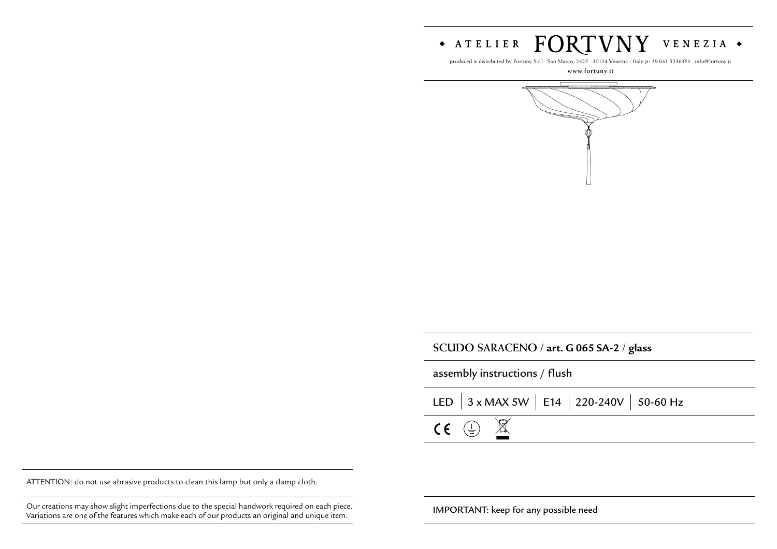

produced & distributed by Fortuny S.r.l. San Marco, 2425 . 30124 Venezia - Italy p+39 041 5236953 . info@fortuny.it

**www.fortuny.it**



| SCUDO SARACENO / art. G 065 SA-2 / glass |  |  |
|------------------------------------------|--|--|
|------------------------------------------|--|--|

assembly instructions / flush

| LED $\Big $ 3 x MAX 5W $\Big $ E14 $\Big $ 220-240V $\Big $ 50-60 Hz |  |
|----------------------------------------------------------------------|--|
| $CE \oplus \overline{\mathbb{X}}$                                    |  |

ATTENTION: do not use abrasive products to clean this lamp but only a damp cloth.

Our creations may show slight imperfections due to the special handwork required on each piece. **IMPORTANT:** keep for any possible need Variations are one of the features which make each of our products an original and unique item.